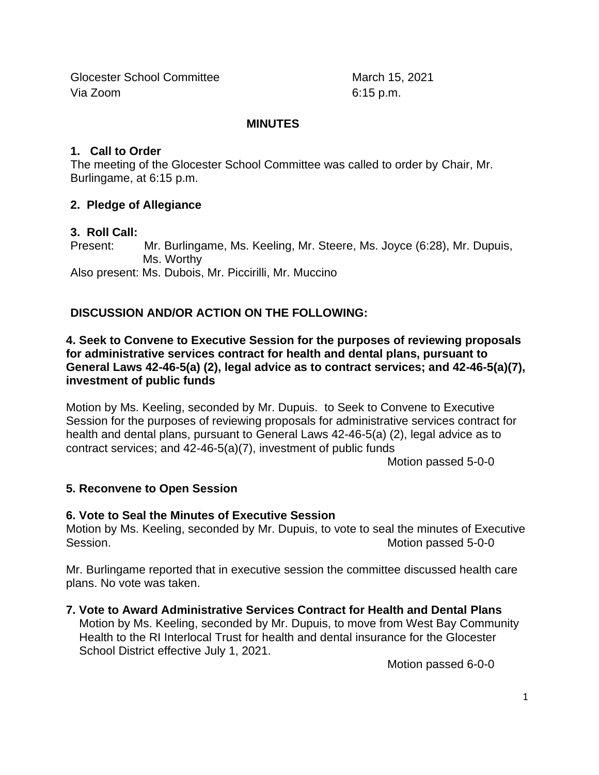Glocester School Committee March 15, 2021 Via Zoom 6:15 p.m.

#### **MINUTES**

#### **1. Call to Order**

The meeting of the Glocester School Committee was called to order by Chair, Mr. Burlingame, at 6:15 p.m.

### **2. Pledge of Allegiance**

### **3. Roll Call:**

Present: Mr. Burlingame, Ms. Keeling, Mr. Steere, Ms. Joyce (6:28), Mr. Dupuis, Ms. Worthy Also present: Ms. Dubois, Mr. Piccirilli, Mr. Muccino

# **DISCUSSION AND/OR ACTION ON THE FOLLOWING:**

#### **4. Seek to Convene to Executive Session for the purposes of reviewing proposals for administrative services contract for health and dental plans, pursuant to General Laws 42-46-5(a) (2), legal advice as to contract services; and 42-46-5(a)(7), investment of public funds**

Motion by Ms. Keeling, seconded by Mr. Dupuis. to Seek to Convene to Executive Session for the purposes of reviewing proposals for administrative services contract for health and dental plans, pursuant to General Laws 42-46-5(a) (2), legal advice as to contract services; and 42-46-5(a)(7), investment of public funds

Motion passed 5-0-0

### **5. Reconvene to Open Session**

### **6. Vote to Seal the Minutes of Executive Session**

Motion by Ms. Keeling, seconded by Mr. Dupuis, to vote to seal the minutes of Executive Session. The settlement of the settlement of the settlement of the Motion passed 5-0-0

Mr. Burlingame reported that in executive session the committee discussed health care plans. No vote was taken.

### **7. Vote to Award Administrative Services Contract for Health and Dental Plans**

Motion by Ms. Keeling, seconded by Mr. Dupuis, to move from West Bay Community Health to the RI Interlocal Trust for health and dental insurance for the Glocester School District effective July 1, 2021.

Motion passed 6-0-0